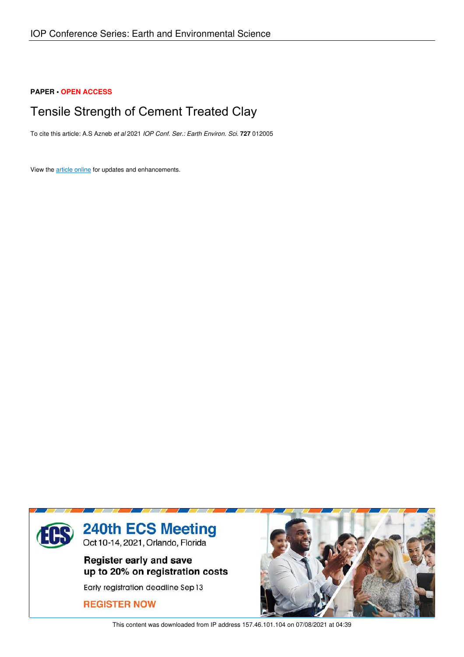### **PAPER • OPEN ACCESS**

# Tensile Strength of Cement Treated Clay

To cite this article: A.S Azneb *et al* 2021 *IOP Conf. Ser.: Earth Environ. Sci.* **727** 012005

View the article online for updates and enhancements.



This content was downloaded from IP address 157.46.101.104 on 07/08/2021 at 04:39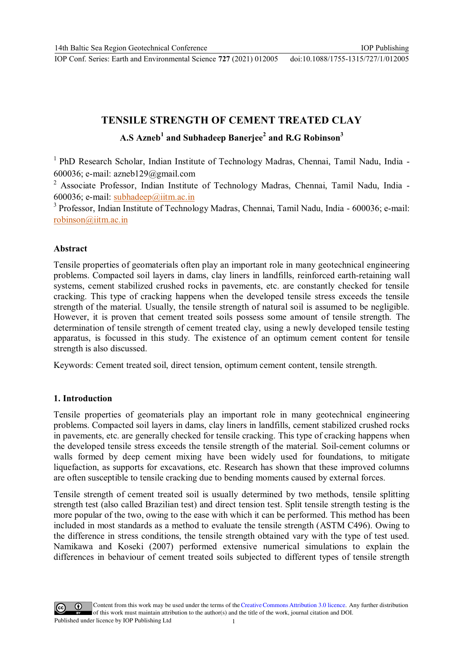IOP Publishing

# **TENSILE STRENGTH OF CEMENT TREATED CLAY A.S Azneb<sup>1</sup> and Subhadeep Banerjee<sup>2</sup> and R.G Robinson<sup>3</sup>**

 $1$  PhD Research Scholar, Indian Institute of Technology Madras, Chennai, Tamil Nadu, India -600036; e-mail: azneb129@gmail.com

<sup>2</sup> Associate Professor, Indian Institute of Technology Madras, Chennai, Tamil Nadu, India -600036; e-mail: subhadeep@iitm.ac.in

<sup>3</sup> Professor, Indian Institute of Technology Madras, Chennai, Tamil Nadu, India - 600036; e-mail: robinson@iitm.ac.in

#### **Abstract**

Tensile properties of geomaterials often play an important role in many geotechnical engineering problems. Compacted soil layers in dams, clay liners in landfills, reinforced earth-retaining wall systems, cement stabilized crushed rocks in pavements, etc. are constantly checked for tensile cracking. This type of cracking happens when the developed tensile stress exceeds the tensile strength of the material. Usually, the tensile strength of natural soil is assumed to be negligible. However, it is proven that cement treated soils possess some amount of tensile strength. The determination of tensile strength of cement treated clay, using a newly developed tensile testing apparatus, is focussed in this study. The existence of an optimum cement content for tensile strength is also discussed.

Keywords: Cement treated soil, direct tension, optimum cement content, tensile strength.

### **1. Introduction**

Tensile properties of geomaterials play an important role in many geotechnical engineering problems. Compacted soil layers in dams, clay liners in landfills, cement stabilized crushed rocks in pavements, etc. are generally checked for tensile cracking. This type of cracking happens when the developed tensile stress exceeds the tensile strength of the material. Soil-cement columns or walls formed by deep cement mixing have been widely used for foundations, to mitigate liquefaction, as supports for excavations, etc. Research has shown that these improved columns are often susceptible to tensile cracking due to bending moments caused by external forces.

Tensile strength of cement treated soil is usually determined by two methods, tensile splitting strength test (also called Brazilian test) and direct tension test. Split tensile strength testing is the more popular of the two, owing to the ease with which it can be performed. This method has been included in most standards as a method to evaluate the tensile strength (ASTM C496). Owing to the difference in stress conditions, the tensile strength obtained vary with the type of test used. Namikawa and Koseki (2007) performed extensive numerical simulations to explain the differences in behaviour of cement treated soils subjected to different types of tensile strength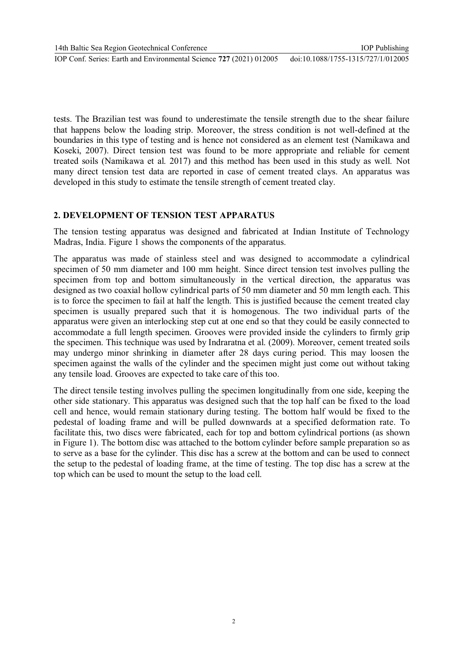tests. The Brazilian test was found to underestimate the tensile strength due to the shear failure that happens below the loading strip. Moreover, the stress condition is not well-defined at the boundaries in this type of testing and is hence not considered as an element test (Namikawa and Koseki, 2007). Direct tension test was found to be more appropriate and reliable for cement treated soils (Namikawa et al. 2017) and this method has been used in this study as well. Not many direct tension test data are reported in case of cement treated clays. An apparatus was developed in this study to estimate the tensile strength of cement treated clay.

## **2. DEVELOPMENT OF TENSION TEST APPARATUS**

IOP Conf. Series: Earth and Environmental Science **727** (2021) 012005

The tension testing apparatus was designed and fabricated at Indian Institute of Technology Madras, India. Figure 1 shows the components of the apparatus.

The apparatus was made of stainless steel and was designed to accommodate a cylindrical specimen of 50 mm diameter and 100 mm height. Since direct tension test involves pulling the specimen from top and bottom simultaneously in the vertical direction, the apparatus was designed as two coaxial hollow cylindrical parts of 50 mm diameter and 50 mm length each. This is to force the specimen to fail at half the length. This is justified because the cement treated clay specimen is usually prepared such that it is homogenous. The two individual parts of the apparatus were given an interlocking step cut at one end so that they could be easily connected to accommodate a full length specimen. Grooves were provided inside the cylinders to firmly grip the specimen. This technique was used by Indraratna et al. (2009). Moreover, cement treated soils may undergo minor shrinking in diameter after 28 days curing period. This may loosen the specimen against the walls of the cylinder and the specimen might just come out without taking any tensile load. Grooves are expected to take care of this too.

The direct tensile testing involves pulling the specimen longitudinally from one side, keeping the other side stationary. This apparatus was designed such that the top half can be fixed to the load cell and hence, would remain stationary during testing. The bottom half would be fixed to the pedestal of loading frame and will be pulled downwards at a specified deformation rate. To facilitate this, two discs were fabricated, each for top and bottom cylindrical portions (as shown in Figure 1). The bottom disc was attached to the bottom cylinder before sample preparation so as to serve as a base for the cylinder. This disc has a screw at the bottom and can be used to connect the setup to the pedestal of loading frame, at the time of testing. The top disc has a screw at the top which can be used to mount the setup to the load cell.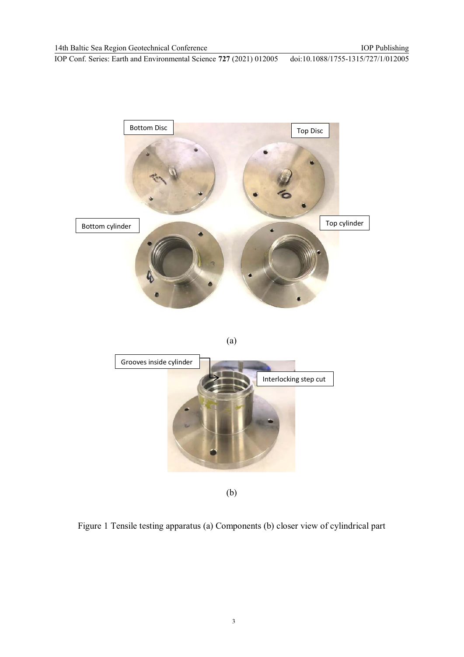

(b)

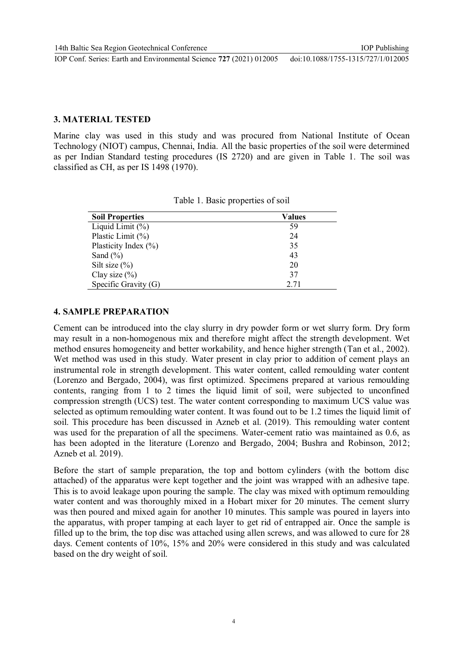#### **3. MATERIAL TESTED**

Marine clay was used in this study and was procured from National Institute of Ocean Technology (NIOT) campus, Chennai, India. All the basic properties of the soil were determined as per Indian Standard testing procedures (IS 2720) and are given in Table 1. The soil was classified as CH, as per IS 1498 (1970).

| <b>Soil Properties</b>   | <b>Values</b> |  |  |  |
|--------------------------|---------------|--|--|--|
| Liquid Limit $(\%)$      | 59            |  |  |  |
| Plastic Limit $(\%)$     | 24            |  |  |  |
| Plasticity Index $(\% )$ | 35            |  |  |  |
| Sand $(\% )$             | 43            |  |  |  |
| Silt size $(\%)$         | 20            |  |  |  |
| Clay size $(\%)$         | 37            |  |  |  |
| Specific Gravity (G)     | 2.71          |  |  |  |

Table 1. Basic properties of soil

### **4. SAMPLE PREPARATION**

Cement can be introduced into the clay slurry in dry powder form or wet slurry form. Dry form may result in a non-homogenous mix and therefore might affect the strength development. Wet method ensures homogeneity and better workability, and hence higher strength (Tan et al., 2002). Wet method was used in this study. Water present in clay prior to addition of cement plays an instrumental role in strength development. This water content, called remoulding water content (Lorenzo and Bergado, 2004), was first optimized. Specimens prepared at various remoulding contents, ranging from 1 to 2 times the liquid limit of soil, were subjected to unconfined compression strength (UCS) test. The water content corresponding to maximum UCS value was selected as optimum remoulding water content. It was found out to be 1.2 times the liquid limit of soil. This procedure has been discussed in Azneb et al. (2019). This remoulding water content was used for the preparation of all the specimens. Water-cement ratio was maintained as 0.6, as has been adopted in the literature (Lorenzo and Bergado, 2004; Bushra and Robinson, 2012; Azneb et al. 2019).

Before the start of sample preparation, the top and bottom cylinders (with the bottom disc attached) of the apparatus were kept together and the joint was wrapped with an adhesive tape. This is to avoid leakage upon pouring the sample. The clay was mixed with optimum remoulding water content and was thoroughly mixed in a Hobart mixer for 20 minutes. The cement slurry was then poured and mixed again for another 10 minutes. This sample was poured in layers into the apparatus, with proper tamping at each layer to get rid of entrapped air. Once the sample is filled up to the brim, the top disc was attached using allen screws, and was allowed to cure for 28 days. Cement contents of 10%, 15% and 20% were considered in this study and was calculated based on the dry weight of soil.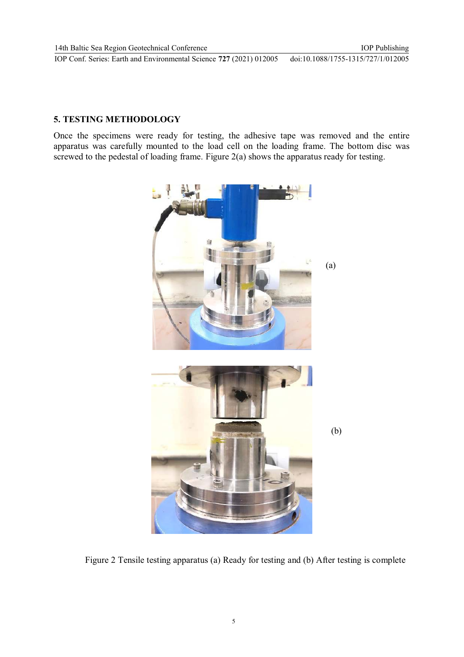IOP Publishing doi:10.1088/1755-1315/727/1/012005

### **5. TESTING METHODOLOGY**

Once the specimens were ready for testing, the adhesive tape was removed and the entire apparatus was carefully mounted to the load cell on the loading frame. The bottom disc was screwed to the pedestal of loading frame. Figure 2(a) shows the apparatus ready for testing.



Figure 2 Tensile testing apparatus (a) Ready for testing and (b) After testing is complete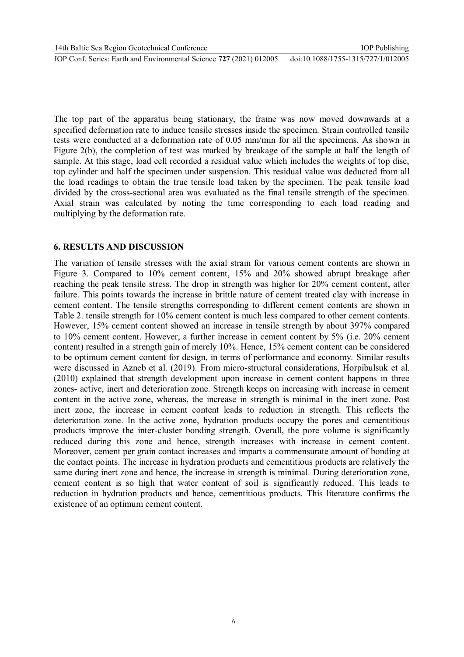The top part of the apparatus being stationary, the frame was now moved downwards at a specified deformation rate to induce tensile stresses inside the specimen. Strain controlled tensile tests were conducted at a deformation rate of 0.05 mm/min for all the specimens. As shown in Figure 2(b), the completion of test was marked by breakage of the sample at half the length of sample. At this stage, load cell recorded a residual value which includes the weights of top disc, top cylinder and half the specimen under suspension. This residual value was deducted from all the load readings to obtain the true tensile load taken by the specimen. The peak tensile load divided by the cross-sectional area was evaluated as the final tensile strength of the specimen. Axial strain was calculated by noting the time corresponding to each load reading and multiplying by the deformation rate.

## **6. RESULTS AND DISCUSSION**

The variation of tensile stresses with the axial strain for various cement contents are shown in Figure 3. Compared to 10% cement content, 15% and 20% showed abrupt breakage after reaching the peak tensile stress. The drop in strength was higher for 20% cement content, after failure. This points towards the increase in brittle nature of cement treated clay with increase in cement content. The tensile strengths corresponding to different cement contents are shown in Table 2. tensile strength for 10% cement content is much less compared to other cement contents. However, 15% cement content showed an increase in tensile strength by about 397% compared to 10% cement content. However, a further increase in cement content by 5% (i.e. 20% cement content) resulted in a strength gain of merely 10%. Hence, 15% cement content can be considered to be optimum cement content for design, in terms of performance and economy. Similar results were discussed in Azneb et al. (2019). From micro-structural considerations, Horpibulsuk et al. (2010) explained that strength development upon increase in cement content happens in three zones- active, inert and deterioration zone. Strength keeps on increasing with increase in cement content in the active zone, whereas, the increase in strength is minimal in the inert zone. Post inert zone, the increase in cement content leads to reduction in strength. This reflects the deterioration zone. In the active zone, hydration products occupy the pores and cementitious products improve the inter-cluster bonding strength. Overall, the pore volume is significantly reduced during this zone and hence, strength increases with increase in cement content. Moreover, cement per grain contact increases and imparts a commensurate amount of bonding at the contact points. The increase in hydration products and cementitious products are relatively the same during inert zone and hence, the increase in strength is minimal. During deterioration zone, cement content is so high that water content of soil is significantly reduced. This leads to reduction in hydration products and hence, cementitious products. This literature confirms the existence of an optimum cement content.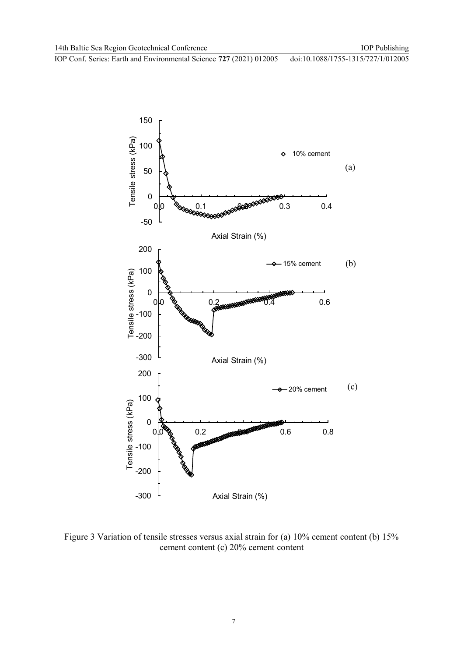IOP Publishing

IOP Conf. Series: Earth and Environmental Science **727** (2021) 012005

doi:10.1088/1755-1315/727/1/012005



Figure 3 Variation of tensile stresses versus axial strain for (a) 10% cement content (b) 15% cement content (c) 20% cement content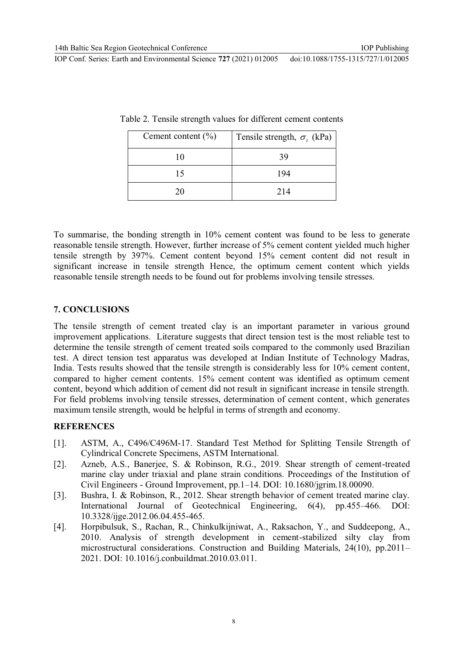| Cement content $(\% )$ | Tensile strength, $\sigma_i$ (kPa) |  |  |
|------------------------|------------------------------------|--|--|
| 10                     | 39                                 |  |  |
| 15                     | 194                                |  |  |
| 20                     | 214                                |  |  |

|  |  | Table 2. Tensile strength values for different cement contents |  |
|--|--|----------------------------------------------------------------|--|
|  |  |                                                                |  |

To summarise, the bonding strength in 10% cement content was found to be less to generate reasonable tensile strength. However, further increase of 5% cement content yielded much higher tensile strength by 397%. Cement content beyond 15% cement content did not result in significant increase in tensile strength Hence, the optimum cement content which yields reasonable tensile strength needs to be found out for problems involving tensile stresses.

#### **7. CONCLUSIONS**

The tensile strength of cement treated clay is an important parameter in various ground improvement applications. Literature suggests that direct tension test is the most reliable test to determine the tensile strength of cement treated soils compared to the commonly used Brazilian test. A direct tension test apparatus was developed at Indian Institute of Technology Madras, India. Tests results showed that the tensile strength is considerably less for 10% cement content, compared to higher cement contents. 15% cement content was identified as optimum cement content, beyond which addition of cement did not result in significant increase in tensile strength. For field problems involving tensile stresses, determination of cement content, which generates maximum tensile strength, would be helpful in terms of strength and economy.

#### **REFERENCES**

- [1]. ASTM, A., C496/C496M-17. Standard Test Method for Splitting Tensile Strength of Cylindrical Concrete Specimens, ASTM International.
- [2]. Azneb, A.S., Banerjee, S. & Robinson, R.G., 2019. Shear strength of cement-treated marine clay under triaxial and plane strain conditions. Proceedings of the Institution of Civil Engineers - Ground Improvement, pp.1–14. DOI: 10.1680/jgrim.18.00090.
- [3]. Bushra, I. & Robinson, R., 2012. Shear strength behavior of cement treated marine clay. International Journal of Geotechnical Engineering, 6(4), pp.455–466. DOI: 10.3328/ijge.2012.06.04.455-465.
- [4]. Horpibulsuk, S., Rachan, R., Chinkulkijniwat, A., Raksachon, Y., and Suddeepong, A., 2010. Analysis of strength development in cement-stabilized silty clay from microstructural considerations. Construction and Building Materials, 24(10), pp.2011– 2021. DOI: 10.1016/j.conbuildmat.2010.03.011.